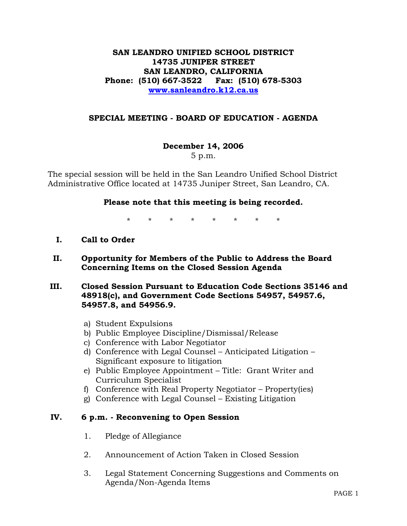## **SAN LEANDRO UNIFIED SCHOOL DISTRICT 14735 JUNIPER STREET SAN LEANDRO, CALIFORNIA Phone: (510) 667-3522 Fax: (510) 678-5303 www.sanleandro.k12.ca.us**

### **SPECIAL MEETING - BOARD OF EDUCATION - AGENDA**

#### **December 14, 2006**

5 p.m.

The special session will be held in the San Leandro Unified School District Administrative Office located at 14735 Juniper Street, San Leandro, CA.

#### **Please note that this meeting is being recorded.**

\* \* \* \* \* \* \* \*

- **I. Call to Order**
- **II. Opportunity for Members of the Public to Address the Board Concerning Items on the Closed Session Agenda**
- **III. Closed Session Pursuant to Education Code Sections 35146 and 48918(c), and Government Code Sections 54957, 54957.6, 54957.8, and 54956.9.** 
	- a) Student Expulsions
	- b) Public Employee Discipline/Dismissal/Release
	- c) Conference with Labor Negotiator
	- d) Conference with Legal Counsel Anticipated Litigation Significant exposure to litigation
	- e) Public Employee Appointment Title: Grant Writer and Curriculum Specialist
	- f) Conference with Real Property Negotiator Property(ies)
	- g) Conference with Legal Counsel Existing Litigation

#### **IV. 6 p.m. - Reconvening to Open Session**

- 1. Pledge of Allegiance
- 2. Announcement of Action Taken in Closed Session
- 3. Legal Statement Concerning Suggestions and Comments on Agenda/Non-Agenda Items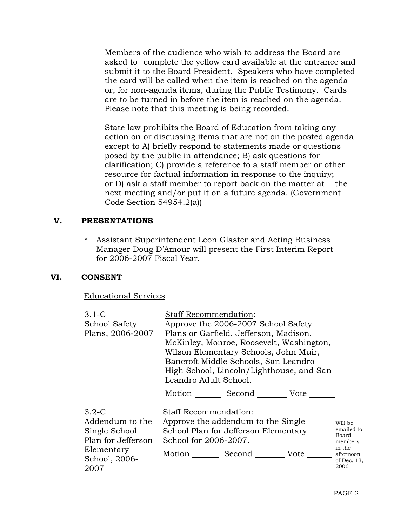Members of the audience who wish to address the Board are asked to complete the yellow card available at the entrance and submit it to the Board President. Speakers who have completed the card will be called when the item is reached on the agenda or, for non-agenda items, during the Public Testimony. Cards are to be turned in before the item is reached on the agenda. Please note that this meeting is being recorded.

 State law prohibits the Board of Education from taking any action on or discussing items that are not on the posted agenda except to A) briefly respond to statements made or questions posed by the public in attendance; B) ask questions for clarification; C) provide a reference to a staff member or other resource for factual information in response to the inquiry; or D) ask a staff member to report back on the matter at the next meeting and/or put it on a future agenda. (Government Code Section 54954.2(a))

# **V. PRESENTATIONS**

\* Assistant Superintendent Leon Glaster and Acting Business Manager Doug D'Amour will present the First Interim Report for 2006-2007 Fiscal Year.

## **VI. CONSENT**

## Educational Services

| $3.1-C$              | <b>Staff Recommendation:</b>                  |  |             |                     |
|----------------------|-----------------------------------------------|--|-------------|---------------------|
| <b>School Safety</b> | Approve the 2006-2007 School Safety           |  |             |                     |
| Plans, 2006-2007     | Plans or Garfield, Jefferson, Madison,        |  |             |                     |
|                      | McKinley, Monroe, Roosevelt, Washington,      |  |             |                     |
|                      | Wilson Elementary Schools, John Muir,         |  |             |                     |
|                      | Bancroft Middle Schools, San Leandro          |  |             |                     |
|                      | High School, Lincoln/Lighthouse, and San      |  |             |                     |
|                      | Leandro Adult School.                         |  |             |                     |
|                      | Motion                                        |  | Second Vote |                     |
| $3.2 - C$            | <b>Staff Recommendation:</b>                  |  |             |                     |
| Addendum to the      | Approve the addendum to the Single<br>Will be |  |             |                     |
| Single School        | School Plan for Jefferson Elementary          |  |             | emailed to<br>Board |
| Plan for Jefferson   | School for 2006-2007.                         |  |             | members             |
| Elementary           | Motion Second                                 |  | Vote        | in the<br>afternoon |
| School, 2006-        |                                               |  |             | of Dec. $13$ ,      |
| 2007                 |                                               |  |             | 2006                |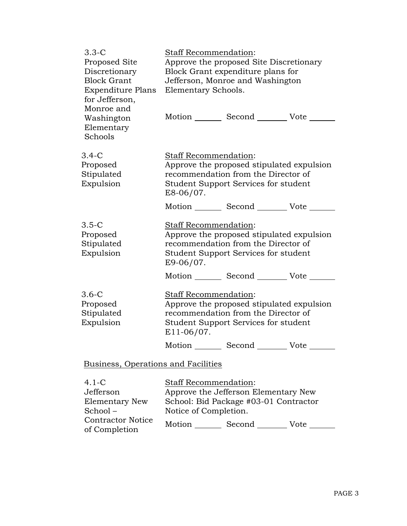| $3.3 - C$<br>Proposed Site<br>Discretionary<br><b>Block Grant</b><br><b>Expenditure Plans</b><br>for Jefferson, | <b>Staff Recommendation:</b><br>Approve the proposed Site Discretionary<br>Block Grant expenditure plans for<br>Jefferson, Monroe and Washington<br>Elementary Schools.                                          |
|-----------------------------------------------------------------------------------------------------------------|------------------------------------------------------------------------------------------------------------------------------------------------------------------------------------------------------------------|
| Monroe and<br>Washington<br>Elementary<br>Schools                                                               | Motion _________ Second __________ Vote _____                                                                                                                                                                    |
| $3.4 - C$<br>Proposed<br>Stipulated<br>Expulsion                                                                | Staff Recommendation:<br>Approve the proposed stipulated expulsion<br>recommendation from the Director of<br>Student Support Services for student<br>E8-06/07.                                                   |
|                                                                                                                 | Motion Second Vote                                                                                                                                                                                               |
| $3.5-C$<br>Proposed<br>Stipulated<br>Expulsion                                                                  | Staff Recommendation:<br>Approve the proposed stipulated expulsion<br>recommendation from the Director of<br>Student Support Services for student<br>E9-06/07.<br>Motion _________ Second _________ Vote _______ |
| $3.6-C$<br>Proposed<br>Stipulated<br>Expulsion                                                                  | Staff Recommendation:<br>Approve the proposed stipulated expulsion<br>recommendation from the Director of<br>Student Support Services for student<br>E11-06/07.<br>Motion _________ Second _________ Vote ____   |
| Business, Operations and Facilities                                                                             |                                                                                                                                                                                                                  |
| $4.1-C$<br>Jefferson<br><b>Elementary New</b><br>School-<br><b>Contractor Notice</b>                            | Staff Recommendation:<br>Approve the Jefferson Elementary New<br>School: Bid Package #03-01 Contractor<br>Notice of Completion.<br>Motion Second<br>$V_{\alpha}$                                                 |

of Completion Motion \_\_\_\_\_\_\_\_ Second \_\_\_\_\_\_\_\_\_ Vote \_\_\_\_\_\_\_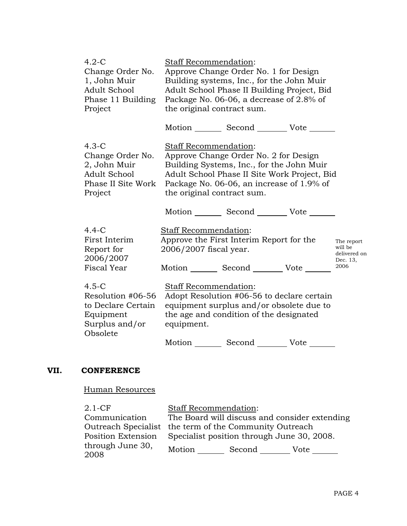| $4.2-C$<br>Change Order No.<br>1, John Muir<br>Adult School<br>Phase 11 Building<br>Project     | Staff Recommendation:<br>Approve Change Order No. 1 for Design<br>Building systems, Inc., for the John Muir<br>Adult School Phase II Building Project, Bid<br>Package No. 06-06, a decrease of 2.8% of<br>the original contract sum.   |                                                           |
|-------------------------------------------------------------------------------------------------|----------------------------------------------------------------------------------------------------------------------------------------------------------------------------------------------------------------------------------------|-----------------------------------------------------------|
|                                                                                                 | Motion _________ Second __________ Vote _______                                                                                                                                                                                        |                                                           |
| $4.3-C$<br>Change Order No.<br>2, John Muir<br>Adult School<br>Phase II Site Work<br>Project    | Staff Recommendation:<br>Approve Change Order No. 2 for Design<br>Building Systems, Inc., for the John Muir<br>Adult School Phase II Site Work Project, Bid<br>Package No. 06-06, an increase of 1.9% of<br>the original contract sum. |                                                           |
|                                                                                                 | Motion Second Vote                                                                                                                                                                                                                     |                                                           |
| $4.4-C$<br>First Interim<br>Report for<br>2006/2007<br>Fiscal Year                              | Staff Recommendation:<br>Approve the First Interim Report for the<br>2006/2007 fiscal year.<br>Motion Second Vote                                                                                                                      | The report<br>will be<br>delivered on<br>Dec. 13,<br>2006 |
| $4.5 - C$<br>Resolution #06-56<br>to Declare Certain<br>Equipment<br>Surplus and/or<br>Obsolete | Staff Recommendation:<br>Adopt Resolution #06-56 to declare certain<br>equipment surplus and/or obsolete due to<br>the age and condition of the designated<br>equipment.                                                               |                                                           |
|                                                                                                 | Second _______<br>Motion<br>Vote                                                                                                                                                                                                       |                                                           |

# **VII. CONFERENCE**

Human Resources

| $2.1-CF$                 | <b>Staff Recommendation:</b>                           |  |  |
|--------------------------|--------------------------------------------------------|--|--|
| Communication            | The Board will discuss and consider extending          |  |  |
|                          | Outreach Specialist the term of the Community Outreach |  |  |
| Position Extension       | Specialist position through June 30, 2008.             |  |  |
| through June 30,<br>2008 | Motion<br>Second<br>Vote                               |  |  |